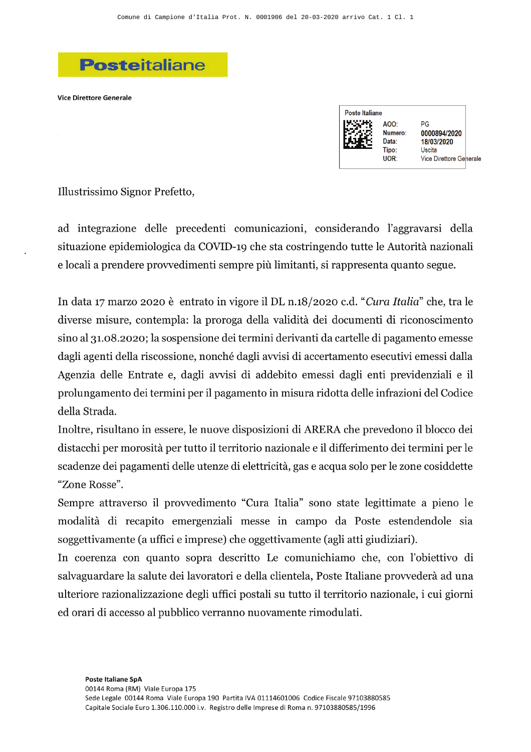## **Posteitaliane**

**Vice Direttore Generale** 

Poste Italiane AOO- $PG$ Numero: 0000894/2020 Data: 18/03/2020 Tipo: Uscita UOR: Vice Direttore Generale

Illustrissimo Signor Prefetto,

ad integrazione delle precedenti comunicazioni, considerando l'aggravarsi della situazione epidemiologica da COVID-19 che sta costringendo tutte le Autorità nazionali e locali a prendere provvedimenti sempre più limitanti, si rappresenta quanto segue.

In data 17 marzo 2020 è entrato in vigore il DL n.18/2020 c.d. "Cura Italia" che, tra le diverse misure, contempla: la proroga della validità dei documenti di riconoscimento sino al 31.08.2020; la sospensione dei termini derivanti da cartelle di pagamento emesse dagli agenti della riscossione, nonché dagli avvisi di accertamento esecutivi emessi dalla Agenzia delle Entrate e, dagli avvisi di addebito emessi dagli enti previdenziali e il prolungamento dei termini per il pagamento in misura ridotta delle infrazioni del Codice della Strada.

Inoltre, risultano in essere, le nuove disposizioni di ARERA che prevedono il blocco dei distacchi per morosità per tutto il territorio nazionale e il differimento dei termini per le scadenze dei pagamenti delle utenze di elettricità, gas e acqua solo per le zone cosiddette "Zone Rosse".

Sempre attraverso il provvedimento "Cura Italia" sono state legittimate a pieno le modalità di recapito emergenziali messe in campo da Poste estendendole sia soggettivamente (a uffici e imprese) che oggettivamente (agli atti giudiziari).

In coerenza con quanto sopra descritto Le comunichiamo che, con l'obiettivo di salvaguardare la salute dei lavoratori e della clientela, Poste Italiane provvederà ad una ulteriore razionalizzazione degli uffici postali su tutto il territorio nazionale, i cui giorni ed orari di accesso al pubblico verranno nuovamente rimodulati.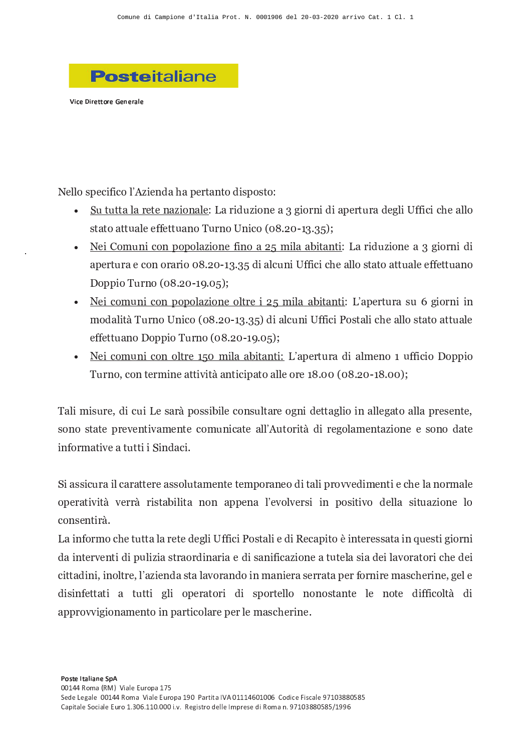

-- - - - - - -

Nello specifico l'Azienda ha pertanto disposto:

- $\bullet$  Su <sup>N</sup> <sup>N</sup> <sup>J</sup> <sup>T</sup> <sup>J</sup> <sup>M</sup> <sup>G</sup> <sup>N</sup> <sup>G</sup> <sup>H</sup> <sup>J</sup> <sup>E</sup> <sup>F</sup> <sup>O</sup> <sup>H</sup> <sup>J</sup> <sup>T</sup> <sup>G</sup> <sup>Q</sup> <sup>U</sup> <sup>J</sup> <sup>M</sup> <sup>F</sup> <sup>I</sup> <sup>E</sup> <sup>F</sup> <sup>O</sup> <sup>H</sup> <sup>G</sup> <sup>J</sup> <sup>V</sup> <sup>W</sup> <sup>F</sup> <sup>O</sup> <sup>M</sup> <sup>H</sup> <sup>F</sup> <sup>I</sup> <sup>F</sup> <sup>J</sup> <sup>L</sup> <sup>G</sup> <sup>M</sup> <sup>N</sup> <sup>M</sup> <sup>J</sup> <sup>I</sup> <sup>G</sup> <sup>W</sup> <sup>T</sup> <sup>F</sup> <sup>X</sup> <sup>Y</sup> <sup>Y</sup> <sup>F</sup> <sup>Z</sup> <sup>F</sup> <sup>Z</sup> <sup>K</sup> <sup>G</sup> <sup>J</sup> <sup>T</sup> <sup>T</sup> <sup>O</sup>  $\sim$   $\sim$   $\sim$   $\sim$ <sup>M</sup> <sup>H</sup> <sup>O</sup> <sup>X</sup> <sup>H</sup> <sup>F</sup> <sup>Z</sup> <sup>O</sup> \ ] ^ \_ ` ] <sup>a</sup> <sup>b</sup> <sup>V</sup> \_ <sup>V</sup> <sup>c</sup> <sup>d</sup> <sup>e</sup>
- $\bullet$  Nei Co <sup>H</sup> <sup>F</sup> <sup>Z</sup> <sup>O</sup> <sup>H</sup> <sup>L</sup> <sup>O</sup> <sup>L</sup> <sup>O</sup> <sup>T</sup> <sup>J</sup> <sup>E</sup> <sup>F</sup> <sup>O</sup> <sup>H</sup> <sup>G</sup> <sup>Y</sup> <sup>F</sup> <sup>H</sup> <sup>O</sup> <sup>J</sup> ` <sup>c</sup> <sup>h</sup> <sup>F</sup> <sup>T</sup> <sup>J</sup> <sup>J</sup> <sup>i</sup> <sup>F</sup> <sup>N</sup> <sup>J</sup> <sup>H</sup> <sup>N</sup> <sup>F</sup> <sup>Q</sup> <sup>U</sup> <sup>J</sup> <sup>M</sup> <sup>F</sup> <sup>I</sup> <sup>E</sup> <sup>F</sup> <sup>O</sup> <sup>H</sup> <sup>G</sup> <sup>J</sup> <sup>V</sup> <sup>W</sup> <sup>F</sup> <sup>O</sup> <sup>M</sup> <sup>H</sup> <sup>F</sup> <sup>I</sup> <sup>F</sup> <sup>M</sup> <sup>J</sup> <sup>G</sup> <sup>Z</sup> <sup>O</sup> <sup>H</sup> <sup>O</sup> <sup>M</sup> <sup>J</sup> <sup>M</sup> <sup>F</sup> <sup>O</sup> ] ^ \_ ` ] <sup>a</sup> <sup>b</sup> <sup>V</sup> \_ <sup>V</sup> <sup>c</sup> <sup>I</sup> <sup>F</sup> <sup>J</sup> <sup>T</sup> <sup>Z</sup> <sup>H</sup> <sup>F</sup> <sup>X</sup> <sup>Y</sup> <sup>Y</sup> <sup>F</sup> <sup>Z</sup> <sup>F</sup> <sup>Z</sup> <sup>K</sup> <sup>G</sup> <sup>J</sup> <sup>T</sup> <sup>T</sup> <sup>O</sup> <sup>P</sup> <sup>N</sup> <sup>J</sup> <sup>N</sup> <sup>O</sup> <sup>J</sup> <sup>N</sup> <sup>N</sup>  $\sim$   $\sim$   $\sim$   $\sim$  $\sim$   $\sim$   $\sim$  $\sim$   $\sim$   $\sim$   $\sim$   $\sim$   $\sim$
- $\bullet$ G F Z O H Z O h Z O h Z O h Z O h Z O h Z O h Z O h Z O h Z O h Z O h Z O h Z O h Z <sup>H</sup> <sup>F</sup> <sup>Z</sup> <sup>O</sup> <sup>H</sup> <sup>L</sup> <sup>O</sup> <sup>L</sup> <sup>O</sup> <sup>T</sup> <sup>J</sup> <sup>E</sup> <sup>F</sup> <sup>O</sup> <sup>H</sup> <sup>G</sup> <sup>O</sup> <sup>T</sup> <sup>N</sup> <sup>M</sup> <sup>G</sup> <sup>F</sup> ` <sup>c</sup> <sup>h</sup> <sup>F</sup> <sup>T</sup> <sup>J</sup> <sup>J</sup> <sup>i</sup> <sup>F</sup> <sup>N</sup> <sup>J</sup> <sup>H</sup> <sup>N</sup> <sup>F</sup> <sup>Q</sup> <sup>l</sup> <sup>C</sup> <sup>m</sup> ? ; <sup>n</sup> <sup>o</sup> <sup>p</sup> <sup>n</sup> <sup>m</sup> <sup>&</sup>gt; <sup>p</sup> <sup>q</sup> <sup>r</sup> <sup>A</sup> <sup>=</sup> <sup>n</sup> <sup>s</sup> <sup>A</sup> <sup>F</sup> <sup>H</sup> <sup>h</sup> <sup>O</sup> <sup>I</sup> <sup>J</sup> <sup>T</sup> <sup>F</sup> <sup>N</sup> <sup>t</sup> [ <sup>M</sup> <sup>H</sup> <sup>O</sup> <sup>X</sup> <sup>H</sup> <sup>F</sup> <sup>Z</sup> <sup>O</sup> \ ] ^ \_ ` ] <sup>a</sup> <sup>b</sup> <sup>V</sup> \_ <sup>V</sup> <sup>c</sup> <sup>d</sup> <sup>I</sup> <sup>F</sup> <sup>J</sup> <sup>T</sup> <sup>Z</sup>  $\mathbf{H} = \mathbf{H} + \mathbf{H}$  and  $\mathbf{H} = \mathbf{H}$  and  $\mathbf{H} = \mathbf{H}$  and  $\mathbf{H} = \mathbf{H}$  and  $\mathbf{H} = \mathbf{H}$ <sup>J</sup> <sup>T</sup> <sup>G</sup>  $\sim$   $\sim$   $\sim$ <sup>J</sup> <sup>H</sup> <sup>O</sup> <sup>j</sup> <sup>O</sup> <sup>L</sup> <sup>L</sup> <sup>F</sup> <sup>O</sup> [  $\sim$   $\sim$   $\sim$   $\sim$   $\sim$   $\sim$
- $\bullet$ G F  $\sim$  0.000 minutes and the set of the set of the set of the set of the set of the set of the set of the set of the set of the set of the set of the set of the set of the set of the set of the set of the set of the set <sup>H</sup> <sup>F</sup> <sup>Z</sup> <sup>O</sup> <sup>H</sup> <sup>O</sup> <sup>T</sup> <sup>N</sup> <sup>M</sup> <sup>G</sup> <sup>b</sup> <sup>c</sup> ] <sup>h</sup> <sup>F</sup> <sup>T</sup> <sup>J</sup> <sup>J</sup> <sup>i</sup> <sup>F</sup> <sup>N</sup> <sup>J</sup> <sup>H</sup> <sup>N</sup> <sup>F</sup> <sup>Q</sup> <sup>l</sup> <sup>C</sup> <sup>m</sup> ? ; <sup>n</sup> <sup>o</sup> <sup>p</sup> <sup>n</sup> <sup>m</sup> <sup>v</sup> <sup>A</sup> <sup>J</sup> <sup>T</sup> <sup>h</sup> <sup>G</sup> <sup>H</sup> <sup>O</sup> <sup>b</sup> <sup>Y</sup> <sup>Y</sup> <sup>F</sup> <sup>Z</sup> <sup>F</sup> <sup>O</sup> <sup>j</sup> <sup>O</sup> <sup>L</sup> <sup>L</sup> <sup>F</sup> <sup>O</sup>  $\blacksquare$

[ <sup>J</sup> <sup>T</sup> <sup>F</sup> <sup>h</sup> <sup>F</sup> <sup>P</sup>  $\sim$   $\sim$   $\sim$  $\mathbf{F} = \mathbf{F} \mathbf{F}$  and  $\mathbf{F} = \mathbf{F} \mathbf{F}$  and  $\mathbf{F} = \mathbf{F} \mathbf{F}$ T N J M G O W H F I G N J H J T T T G W J H J L M G W J H J L M G W J L M G W J L M G W J L M G W J L M G W J L P O H O P N G H N G H N G H N G H N G H N G H N G H N G H N G H N G H N G H N G H N G H N G H N G H N G H N G  $\mathbf{F}$  and  $\mathbf{F}$  and  $\mathbf{F}$  and  $\mathbf{F}$  is  $\mathbf{F}$  . The main  $\mathbf{F}$ <sup>F</sup> <sup>H</sup> <sup>Y</sup> <sup>O</sup> <sup>M</sup> <sup>h</sup> <sup>J</sup> <sup>N</sup> <sup>F</sup> <sup>x</sup> <sup>G</sup> <sup>J</sup> <sup>N</sup> <sup>N</sup> <sup>N</sup> <sup>F</sup> <sup>F</sup> <sup>F</sup> <sup>H</sup> <sup>I</sup> <sup>J</sup> <sup>Z</sup> <sup>F</sup> \_

 $\cdot$   $\cdot$   $\cdot$   $\cdot$ <sup>M</sup> <sup>J</sup> <sup>F</sup> <sup>T</sup> <sup>Z</sup> <sup>J</sup> <sup>M</sup> <sup>J</sup> <sup>N</sup> <sup>N</sup> <sup>G</sup> <sup>M</sup> <sup>G</sup> <sup>J</sup> <sup>P</sup> <sup>P</sup> <sup>O</sup> <sup>T</sup>  $N$  is a constant of the constant  $\mathcal{N}$  and  $\mathcal{N}$  and  $\mathcal{N}$  and  $\mathcal{N}$  and  $\mathcal{N}$  and  $\mathcal{N}$  and  $\mathcal{N}$  and  $\mathcal{N}$  and  $\mathcal{N}$  and  $\mathcal{N}$  and  $\mathcal{N}$  and  $\mathcal{N}$  and  $\mathcal{N}$  and  $\mathcal{N}$  and  $\mathcal{$ operatività verrà ristabilita non appena l'evolversi in positivo della situazione lo consentirà.

<sup>U</sup> <sup>J</sup> <sup>F</sup> <sup>H</sup> <sup>Y</sup> <sup>O</sup> <sup>M</sup> <sup>h</sup> <sup>O</sup> <sup>Z</sup> <sup>K</sup> <sup>G</sup> <sup>N</sup> <sup>N</sup> <sup>N</sup> <sup>J</sup> <sup>T</sup> <sup>J</sup> <sup>M</sup> <sup>G</sup> <sup>N</sup> <sup>G</sup> <sup>I</sup> <sup>G</sup> <sup>W</sup> <sup>T</sup> <sup>F</sup> <sup>X</sup> <sup>Y</sup> <sup>Y</sup> <sup>F</sup> <sup>Z</sup> <sup>F</sup> <sup>u</sup> <sup>O</sup> <sup>P</sup> <sup>N</sup> <sup>J</sup> <sup>T</sup> <sup>F</sup> <sup>G</sup> <sup>I</sup> <sup>F</sup> <sup>G</sup> <sup>Z</sup> <sup>J</sup> <sup>L</sup> <sup>F</sup> <sup>N</sup> <sup>O</sup> <sup>F</sup> <sup>H</sup> <sup>N</sup> <sup>G</sup> <sup>M</sup> <sup>G</sup> <sup>P</sup> <sup>P</sup> <sup>J</sup> <sup>N</sup> <sup>J</sup> <sup>F</sup> <sup>H</sup> <sup>G</sup> <sup>P</sup> <sup>N</sup> <sup>F</sup> <sup>W</sup> <sup>F</sup> <sup>O</sup> <sup>M</sup> <sup>H</sup> <sup>F</sup> <sup>I</sup> <sup>J</sup> <sup>F</sup> <sup>H</sup> <sup>N</sup> <sup>G</sup> <sup>M</sup> <sup>x</sup> <sup>G</sup> <sup>H</sup> <sup>N</sup> <sup>F</sup> <sup>I</sup> <sup>F</sup> <sup>L</sup> T F E F A H J A H J A H J A H J A H J A H J A H J A H J A H J A H J A H J A H J A H J A H J A H J A H J A H J <sup>N</sup> <sup>G</sup> <sup>T</sup> <sup>J</sup> <sup>P</sup> <sup>F</sup> <sup>J</sup> <sup>I</sup> <sup>G</sup> <sup>F</sup> <sup>T</sup> <sup>J</sup> <sup>x</sup> <sup>O</sup> <sup>M</sup> <sup>J</sup> <sup>N</sup> <sup>O</sup> <sup>M</sup> <sup>F</sup> <sup>Z</sup> <sup>K</sup> <sup>G</sup> <sup>I</sup> <sup>G</sup> <sup>F</sup> cittadini, inoltre, l'azienda sta lavorando in maniera serrata per fornire mascherine, gel e I F P G N N N H Y N H Y N H Y N H Y N H Y N H Y N H Y N H Y N H Y N H Y N H Y N H Y N H Y N H Y N H Y N H Y N H  $N$  is a contract of the contract of the contract of the contract of the contract of the contract of the contract of the contract of the contract of the contract of the contract of the contract of the contract of the cont approvvigionamento in particolare per le mascherine.